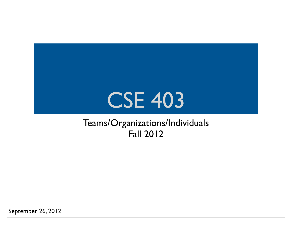## CSE 403

#### Teams/Organizations/Individuals Fall 2012

September 26, 2012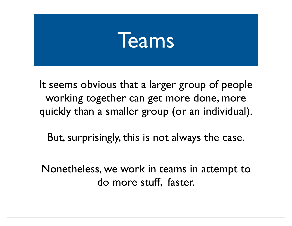## Teams

It seems obvious that a larger group of people working together can get more done, more quickly than a smaller group (or an individual).

But, surprisingly, this is not always the case.

Nonetheless, we work in teams in attempt to do more stuff, faster.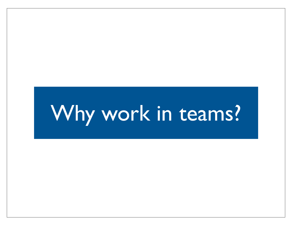## Why work in teams?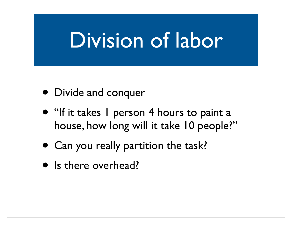## Division of labor

- Divide and conquer
- "If it takes I person 4 hours to paint a house, how long will it take 10 people?"
- Can you really partition the task?
- Is there overhead?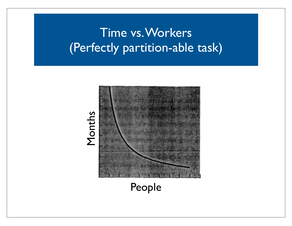### Time vs. Workers (Perfectly partition-able task)



People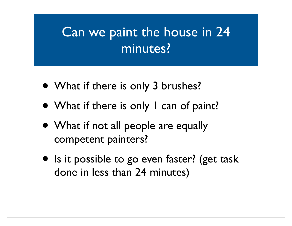### Can we paint the house in 24 minutes?

- What if there is only 3 brushes?
- What if there is only I can of paint?
- What if not all people are equally competent painters?
- Is it possible to go even faster? (get task done in less than 24 minutes)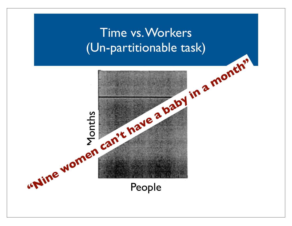### Time vs. Workers (Un-partitionable task)

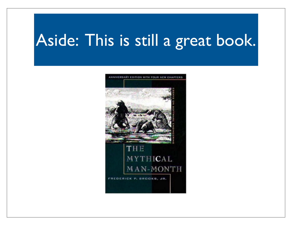## Aside: This is still a great book.

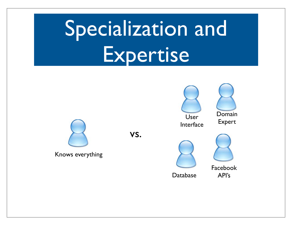# Specialization and Expertise



Knows everything

vs.









Database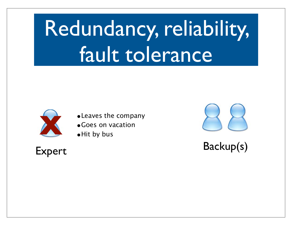# Redundancy, reliability, fault tolerance



- **X** •Leaves the company •Goes on vacation
- •Hit by bus

Expert Backup(s)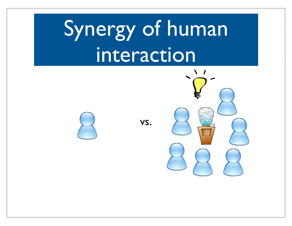# Synergy of human interaction

vs.

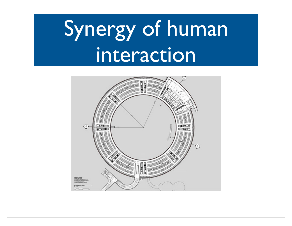# Synergy of human interaction

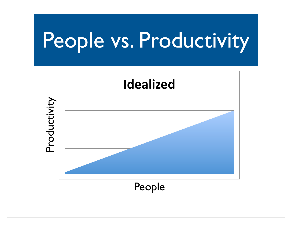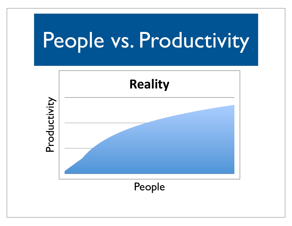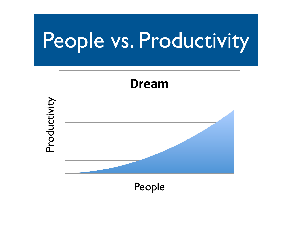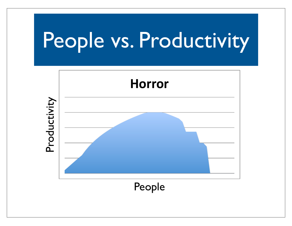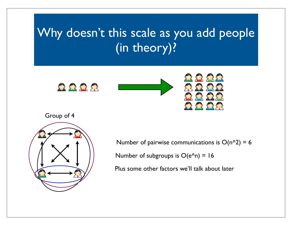### Why doesn't this scale as you add people (in theory)?











Number of pairwise communications is  $O(n^2) = 6$ 

Number of subgroups is  $O(e^{\Lambda}n) = 16$ 

Plus some other factors we'll talk about later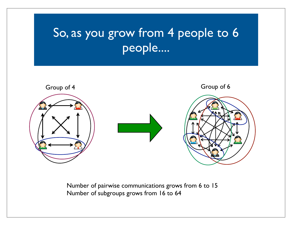### So, as you grow from 4 people to 6 people....



Number of pairwise communications grows from 6 to 15 Number of subgroups grows from 16 to 64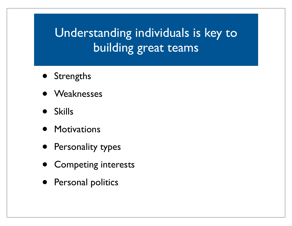### Understanding individuals is key to building great teams

- Strengths
- Weaknesses
- Skills
- Motivations
- **•** Personality types
- Competing interests
- Personal politics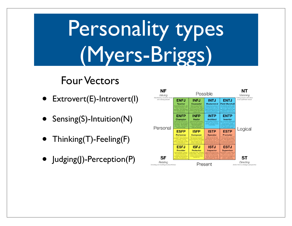# Personality types (Myers-Briggs)

#### Four Vectors

- Extrovert(E)-Introvert(I)
- Sensing(S)-Intuition(N)
- Thinking(T)-Feeling(F)
- Judging(J)-Perception(P)

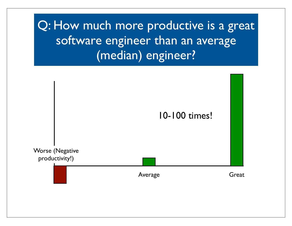Q: How much more productive is a great software engineer than an average (median) engineer?

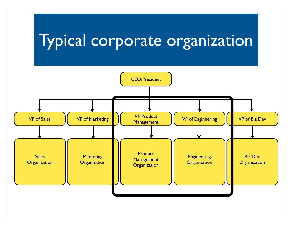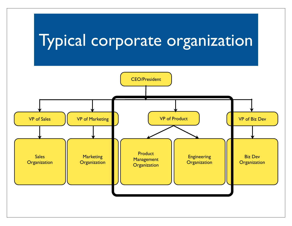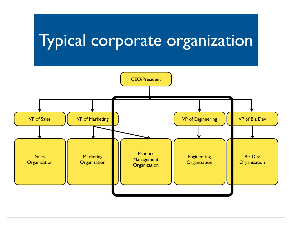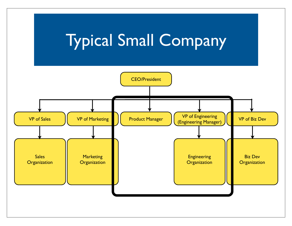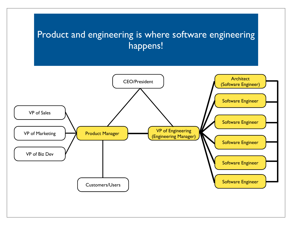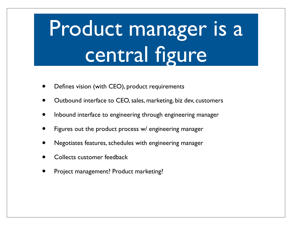# Product manager is a central figure

- Defines vision (with CEO), product requirements
- Outbound interface to CEO, sales, marketing, biz dev, customers
- Inbound interface to engineering through engineering manager
- Figures out the product process w/ engineering manager
- Negotiates features, schedules with engineering manager
- Collects customer feedback
- Project management? Product marketing?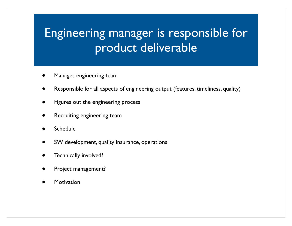### Engineering manager is responsible for product deliverable

- Manages engineering team
- Responsible for all aspects of engineering output (features, timeliness, quality)
- Figures out the engineering process
- Recruiting engineering team
- **Schedule**
- SW development, quality insurance, operations
- Technically involved?
- Project management?
- **Motivation**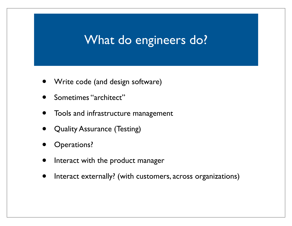#### What do engineers do?

- Write code (and design software)
- Sometimes "architect"
- Tools and infrastructure management
- **Quality Assurance (Testing)**
- Operations?
- Interact with the product manager
- Interact externally? (with customers, across organizations)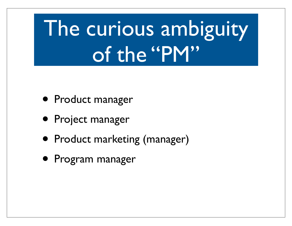# The curious ambiguity of the "PM"

- Product manager
- Project manager
- Product marketing (manager)
- Program manager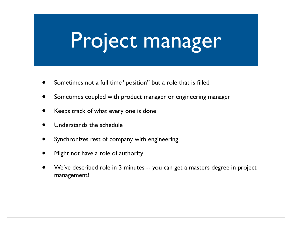## Project manager

- Sometimes not a full time "position" but a role that is filled
- Sometimes coupled with product manager or engineering manager
- Keeps track of what every one is done
- Understands the schedule
- Synchronizes rest of company with engineering
- Might not have a role of authority
- We've described role in 3 minutes -- you can get a masters degree in project management!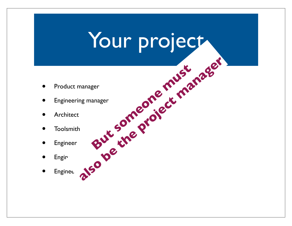## Your project

- Product manager
- Engineering manager But someone must manager manager enter the project manager
- Architect
- Toolsmith
- Engineer
- $\bullet$  Enginger
- · Enginee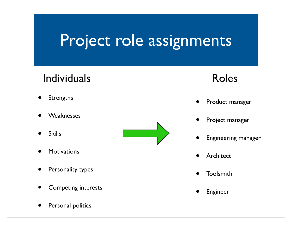## Project role assignments

#### Individuals

- **Strengths**
- **Weaknesses**
- **Skills**
- **Motivations**
- Personality types
- Competing interests
- Personal politics



#### Roles

- Product manager
- Project manager
- Engineering manager
- **Architect**
- Toolsmith
- **Engineer**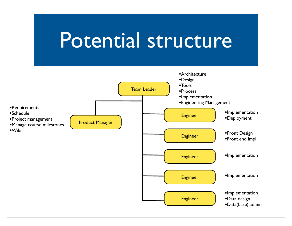## Potential structure

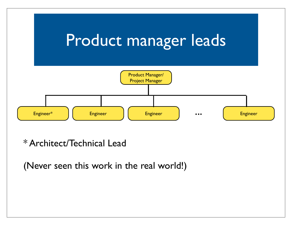

\* Architect/Technical Lead

(Never seen this work in the real world!)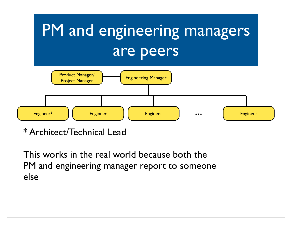

\* Architect/Technical Lead

This works in the real world because both the PM and engineering manager report to someone else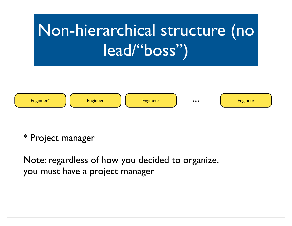

#### \* Project manager

Note: regardless of how you decided to organize, you must have a project manager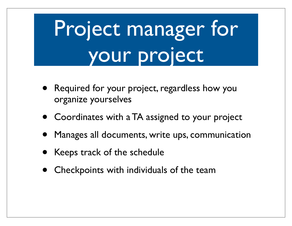# Project manager for your project

- Required for your project, regardless how you organize yourselves
- Coordinates with a TA assigned to your project
- Manages all documents, write ups, communication
- Keeps track of the schedule
- Checkpoints with individuals of the team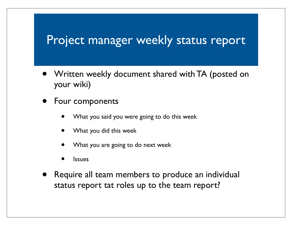#### Project manager weekly status report

- Written weekly document shared with TA (posted on your wiki)
- Four components
	- What you said you were going to do this week
	- What you did this week
	- What you are going to do next week
	- **Issues**
- Require all team members to produce an individual status report tat roles up to the team report?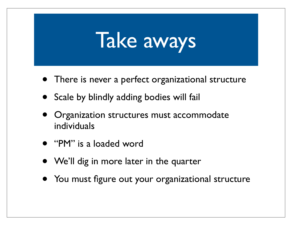## Take aways

- There is never a perfect organizational structure
- Scale by blindly adding bodies will fail
- Organization structures must accommodate individuals
- "PM" is a loaded word
- We'll dig in more later in the quarter
- You must figure out your organizational structure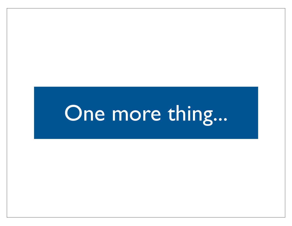## One more thing...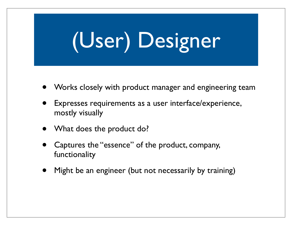# (User) Designer

- Works closely with product manager and engineering team
- Expresses requirements as a user interface/experience, mostly visually
- What does the product do?
- Captures the "essence" of the product, company, functionality
- Might be an engineer (but not necessarily by training)